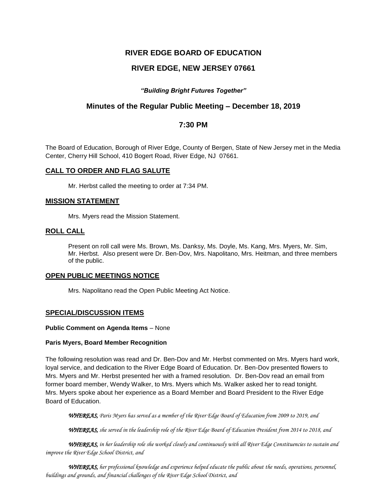# **RIVER EDGE BOARD OF EDUCATION**

# **RIVER EDGE, NEW JERSEY 07661**

## *"Building Bright Futures Together"*

# **Minutes of the Regular Public Meeting – December 18, 2019**

# **7:30 PM**

The Board of Education, Borough of River Edge, County of Bergen, State of New Jersey met in the Media Center, Cherry Hill School, 410 Bogert Road, River Edge, NJ 07661.

### **CALL TO ORDER AND FLAG SALUTE**

Mr. Herbst called the meeting to order at 7:34 PM.

### **MISSION STATEMENT**

Mrs. Myers read the Mission Statement.

### **ROLL CALL**

Present on roll call were Ms. Brown, Ms. Danksy, Ms. Doyle, Ms. Kang, Mrs. Myers, Mr. Sim, Mr. Herbst. Also present were Dr. Ben-Dov, Mrs. Napolitano, Mrs. Heitman, and three members of the public.

#### **OPEN PUBLIC MEETINGS NOTICE**

Mrs. Napolitano read the Open Public Meeting Act Notice.

#### **SPECIAL/DISCUSSION ITEMS**

#### **Public Comment on Agenda Items** – None

#### **Paris Myers, Board Member Recognition**

The following resolution was read and Dr. Ben-Dov and Mr. Herbst commented on Mrs. Myers hard work, loyal service, and dedication to the River Edge Board of Education. Dr. Ben-Dov presented flowers to Mrs. Myers and Mr. Herbst presented her with a framed resolution. Dr. Ben-Dov read an email from former board member, Wendy Walker, to Mrs. Myers which Ms. Walker asked her to read tonight. Mrs. Myers spoke about her experience as a Board Member and Board President to the River Edge Board of Education.

 *WHEREAS, Paris Myers has served as a member of the River Edge Board of Education from 2009 to 2019, and* 

*WHEREAS, she served in the leadership role of the River Edge Board of Education President from 2014 to 2018, and*

 *WHEREAS, in her leadership role she worked closely and continuously with all River Edge Constituencies to sustain and improve the River Edge School District, and*

*WHEREAS, her professional knowledge and experience helped educate the public about the needs, operations, personnel, buildings and grounds, and financial challenges of the River Edge School District, and*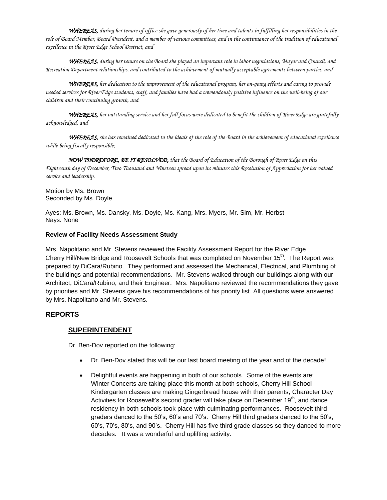*WHEREAS, during her tenure of office she gave generously of her time and talents in fulfilling her responsibilities in the role of Board Member, Board President, and a member of various committees, and in the continuance of the tradition of educational excellence in the River Edge School District, and*

*WHEREAS, during her tenure on the Board she played an important role in labor negotiations, Mayor and Council, and Recreation Department relationships, and contributed to the achievement of mutually acceptable agreements between parties, and*

*WHEREAS, her dedication to the improvement of the educational program, her on-going efforts and caring to provide needed services for River Edge students, staff, and families have had a tremendously positive influence on the well-being of our children and their continuing growth, and*

*WHEREAS, her outstanding service and her full focus were dedicated to benefit the children of River Edge are gratefully acknowledged, and*

*WHEREAS, she has remained dedicated to the ideals of the role of the Board in the achievement of educational excellence while being fiscally responsible;*

*NOW THEREFORE, BE IT RESOLVED, that the Board of Education of the Borough of River Edge on this Eighteenth day of December, Two Thousand and Nineteen spread upon its minutes this Resolution of Appreciation for her valued service and leadership.*

Motion by Ms. Brown Seconded by Ms. Doyle

Ayes: Ms. Brown, Ms. Dansky, Ms. Doyle, Ms. Kang, Mrs. Myers, Mr. Sim, Mr. Herbst Nays: None

### **Review of Facility Needs Assessment Study**

Mrs. Napolitano and Mr. Stevens reviewed the Facility Assessment Report for the River Edge Cherry Hill/New Bridge and Roosevelt Schools that was completed on November 15<sup>th</sup>. The Report was prepared by DiCara/Rubino. They performed and assessed the Mechanical, Electrical, and Plumbing of the buildings and potential recommendations. Mr. Stevens walked through our buildings along with our Architect, DiCara/Rubino, and their Engineer. Mrs. Napolitano reviewed the recommendations they gave by priorities and Mr. Stevens gave his recommendations of his priority list. All questions were answered by Mrs. Napolitano and Mr. Stevens.

# **REPORTS**

## **SUPERINTENDENT**

Dr. Ben-Dov reported on the following:

- Dr. Ben-Dov stated this will be our last board meeting of the year and of the decade!
- Delightful events are happening in both of our schools. Some of the events are: Winter Concerts are taking place this month at both schools, Cherry Hill School Kindergarten classes are making Gingerbread house with their parents, Character Day Activities for Roosevelt's second grader will take place on December  $19<sup>th</sup>$ , and dance residency in both schools took place with culminating performances. Roosevelt third graders danced to the 50's, 60's and 70's. Cherry Hill third graders danced to the 50's, 60's, 70's, 80's, and 90's. Cherry Hill has five third grade classes so they danced to more decades. It was a wonderful and uplifting activity.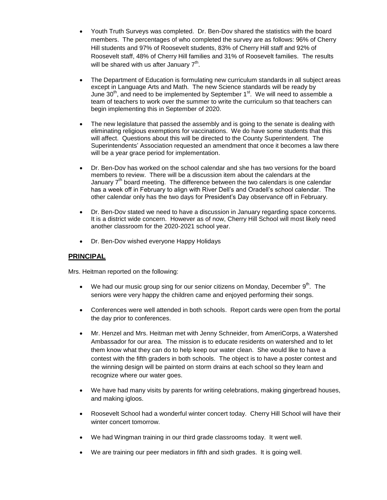- Youth Truth Surveys was completed. Dr. Ben-Dov shared the statistics with the board members. The percentages of who completed the survey are as follows: 96% of Cherry Hill students and 97% of Roosevelt students, 83% of Cherry Hill staff and 92% of Roosevelt staff, 48% of Cherry Hill families and 31% of Roosevelt families. The results will be shared with us after January  $7^{\text{th}}$ .
- The Department of Education is formulating new curriculum standards in all subject areas except in Language Arts and Math. The new Science standards will be ready by June  $30<sup>th</sup>$ , and need to be implemented by September 1<sup>st</sup>. We will need to assemble a team of teachers to work over the summer to write the curriculum so that teachers can begin implementing this in September of 2020.
- The new legislature that passed the assembly and is going to the senate is dealing with eliminating religious exemptions for vaccinations. We do have some students that this will affect. Questions about this will be directed to the County Superintendent. The Superintendents' Association requested an amendment that once it becomes a law there will be a year grace period for implementation.
- Dr. Ben-Dov has worked on the school calendar and she has two versions for the board members to review. There will be a discussion item about the calendars at the January  $7<sup>th</sup>$  board meeting. The difference between the two calendars is one calendar has a week off in February to align with River Dell's and Oradell's school calendar. The other calendar only has the two days for President's Day observance off in February.
- Dr. Ben-Dov stated we need to have a discussion in January regarding space concerns. It is a district wide concern. However as of now, Cherry Hill School will most likely need another classroom for the 2020-2021 school year.
- Dr. Ben-Dov wished everyone Happy Holidays

## **PRINCIPAL**

Mrs. Heitman reported on the following:

- We had our music group sing for our senior citizens on Monday, December  $9<sup>th</sup>$ . The seniors were very happy the children came and enjoyed performing their songs.
- Conferences were well attended in both schools. Report cards were open from the portal the day prior to conferences.
- Mr. Henzel and Mrs. Heitman met with Jenny Schneider, from AmeriCorps, a Watershed Ambassador for our area. The mission is to educate residents on watershed and to let them know what they can do to help keep our water clean. She would like to have a contest with the fifth graders in both schools. The object is to have a poster contest and the winning design will be painted on storm drains at each school so they learn and recognize where our water goes.
- We have had many visits by parents for writing celebrations, making gingerbread houses, and making igloos.
- Roosevelt School had a wonderful winter concert today. Cherry Hill School will have their winter concert tomorrow.
- We had Wingman training in our third grade classrooms today. It went well.
- We are training our peer mediators in fifth and sixth grades. It is going well.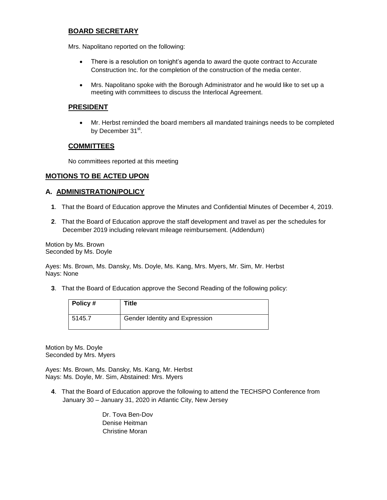## **BOARD SECRETARY**

Mrs. Napolitano reported on the following:

- There is a resolution on tonight's agenda to award the quote contract to Accurate Construction Inc. for the completion of the construction of the media center.
- Mrs. Napolitano spoke with the Borough Administrator and he would like to set up a meeting with committees to discuss the Interlocal Agreement.

### **PRESIDENT**

 Mr. Herbst reminded the board members all mandated trainings needs to be completed by December 31st.

### **COMMITTEES**

No committees reported at this meeting

### **MOTIONS TO BE ACTED UPON**

### **A. ADMINISTRATION/POLICY**

- **1**. That the Board of Education approve the Minutes and Confidential Minutes of December 4, 2019.
- **2**. That the Board of Education approve the staff development and travel as per the schedules for December 2019 including relevant mileage reimbursement. (Addendum)

Motion by Ms. Brown Seconded by Ms. Doyle

Ayes: Ms. Brown, Ms. Dansky, Ms. Doyle, Ms. Kang, Mrs. Myers, Mr. Sim, Mr. Herbst Nays: None

**3**. That the Board of Education approve the Second Reading of the following policy:

| Policy # | Title                          |
|----------|--------------------------------|
| 5145.7   | Gender Identity and Expression |

Motion by Ms. Doyle Seconded by Mrs. Myers

Ayes: Ms. Brown, Ms. Dansky, Ms. Kang, Mr. Herbst Nays: Ms. Doyle, Mr. Sim, Abstained: Mrs. Myers

**4**. That the Board of Education approve the following to attend the TECHSPO Conference from January 30 – January 31, 2020 in Atlantic City, New Jersey

> Dr. Tova Ben-Dov Denise Heitman Christine Moran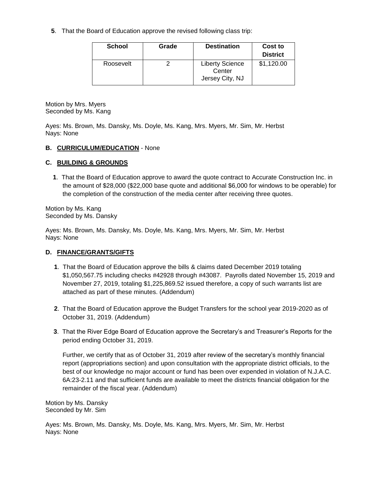**5**. That the Board of Education approve the revised following class trip:

| <b>School</b> | Grade | <b>Destination</b>                                  | Cost to<br><b>District</b> |
|---------------|-------|-----------------------------------------------------|----------------------------|
| Roosevelt     |       | <b>Liberty Science</b><br>Center<br>Jersey City, NJ | \$1,120.00                 |

Motion by Mrs. Myers Seconded by Ms. Kang

Ayes: Ms. Brown, Ms. Dansky, Ms. Doyle, Ms. Kang, Mrs. Myers, Mr. Sim, Mr. Herbst Nays: None

## **B. CURRICULUM/EDUCATION** - None

## **C. BUILDING & GROUNDS**

**1**. That the Board of Education approve to award the quote contract to Accurate Construction Inc. in the amount of \$28,000 (\$22,000 base quote and additional \$6,000 for windows to be operable) for the completion of the construction of the media center after receiving three quotes.

Motion by Ms. Kang Seconded by Ms. Dansky

Ayes: Ms. Brown, Ms. Dansky, Ms. Doyle, Ms. Kang, Mrs. Myers, Mr. Sim, Mr. Herbst Nays: None

## **D. FINANCE/GRANTS/GIFTS**

- **1**. That the Board of Education approve the bills & claims dated December 2019 totaling \$1,050,567.75 including checks #42928 through #43087. Payrolls dated November 15, 2019 and November 27, 2019, totaling \$1,225,869.52 issued therefore, a copy of such warrants list are attached as part of these minutes. (Addendum)
- **2**. That the Board of Education approve the Budget Transfers for the school year 2019-2020 as of October 31, 2019. (Addendum)
- **3**. That the River Edge Board of Education approve the Secretary's and Treasurer's Reports for the period ending October 31, 2019.

Further, we certify that as of October 31, 2019 after review of the secretary's monthly financial report (appropriations section) and upon consultation with the appropriate district officials, to the best of our knowledge no major account or fund has been over expended in violation of N.J.A.C. 6A:23-2.11 and that sufficient funds are available to meet the districts financial obligation for the remainder of the fiscal year. (Addendum)

Motion by Ms. Dansky Seconded by Mr. Sim

Ayes: Ms. Brown, Ms. Dansky, Ms. Doyle, Ms. Kang, Mrs. Myers, Mr. Sim, Mr. Herbst Nays: None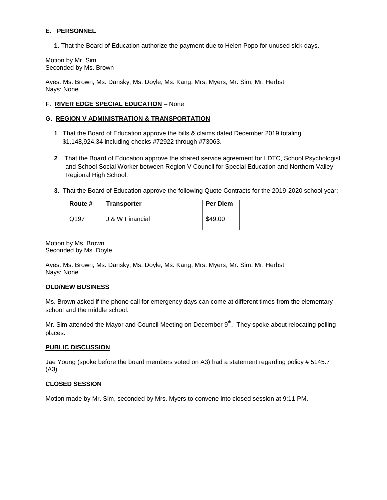## **E. PERSONNEL**

**1**. That the Board of Education authorize the payment due to Helen Popo for unused sick days.

Motion by Mr. Sim Seconded by Ms. Brown

Ayes: Ms. Brown, Ms. Dansky, Ms. Doyle, Ms. Kang, Mrs. Myers, Mr. Sim, Mr. Herbst Nays: None

## **F. RIVER EDGE SPECIAL EDUCATION** – None

### **G. REGION V ADMINISTRATION & TRANSPORTATION**

- **1**. That the Board of Education approve the bills & claims dated December 2019 totaling \$1,148,924.34 including checks #72922 through #73063.
- **2**. That the Board of Education approve the shared service agreement for LDTC, School Psychologist and School Social Worker between Region V Council for Special Education and Northern Valley Regional High School.
- **3**. That the Board of Education approve the following Quote Contracts for the 2019-2020 school year:

| Route # | <b>Transporter</b> | <b>Per Diem</b> |
|---------|--------------------|-----------------|
| Q197    | J & W Financial    | \$49.00         |

Motion by Ms. Brown Seconded by Ms. Doyle

Ayes: Ms. Brown, Ms. Dansky, Ms. Doyle, Ms. Kang, Mrs. Myers, Mr. Sim, Mr. Herbst Nays: None

#### **OLD/NEW BUSINESS**

Ms. Brown asked if the phone call for emergency days can come at different times from the elementary school and the middle school.

Mr. Sim attended the Mayor and Council Meeting on December 9<sup>th</sup>. They spoke about relocating polling places.

#### **PUBLIC DISCUSSION**

Jae Young (spoke before the board members voted on A3) had a statement regarding policy # 5145.7 (A3).

#### **CLOSED SESSION**

Motion made by Mr. Sim, seconded by Mrs. Myers to convene into closed session at 9:11 PM.